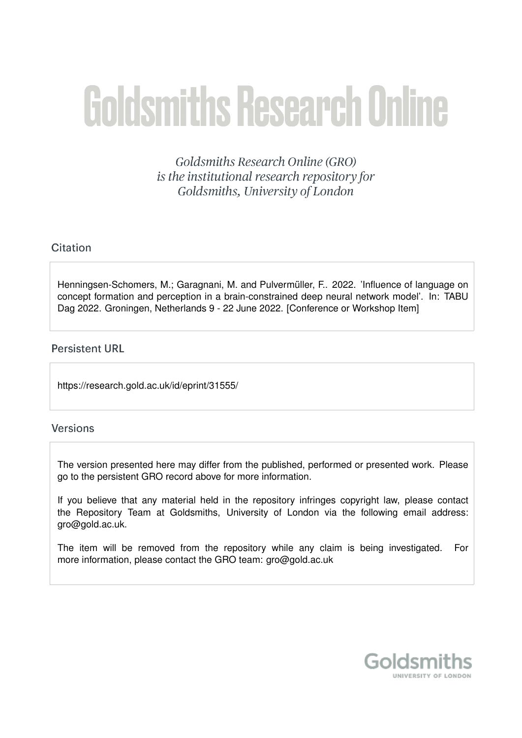# **Goldsmiths Research Online**

Goldsmiths Research Online (GRO) is the institutional research repository for Goldsmiths, University of London

## Citation

Henningsen-Schomers, M.; Garagnani, M. and Pulvermüller, F., 2022. 'Influence of language on concept formation and perception in a brain-constrained deep neural network model'. In: TABU Dag 2022. Groningen, Netherlands 9 - 22 June 2022. [Conference or Workshop Item]

## **Persistent URL**

https://research.gold.ac.uk/id/eprint/31555/

## **Versions**

The version presented here may differ from the published, performed or presented work. Please go to the persistent GRO record above for more information.

If you believe that any material held in the repository infringes copyright law, please contact the Repository Team at Goldsmiths, University of London via the following email address: gro@gold.ac.uk.

The item will be removed from the repository while any claim is being investigated. For more information, please contact the GRO team: gro@gold.ac.uk

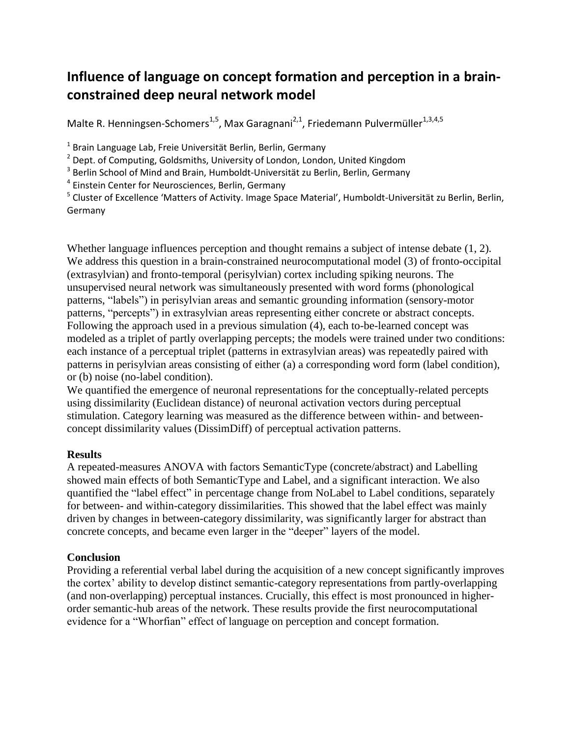# **Influence of language on concept formation and perception in a brainconstrained deep neural network model**

Malte R. Henningsen-Schomers<sup>1,5</sup>, Max Garagnani<sup>2,1</sup>, Friedemann Pulvermüller<sup>1,3,4,5</sup>

<sup>1</sup> Brain Language Lab, Freie Universität Berlin, Berlin, Germany

 $2$  Dept. of Computing, Goldsmiths, University of London, London, United Kingdom

<sup>3</sup> Berlin School of Mind and Brain, Humboldt-Universität zu Berlin, Berlin, Germany

<sup>4</sup> Einstein Center for Neurosciences, Berlin, Germany

<sup>5</sup> Cluster of Excellence 'Matters of Activity. Image Space Material', Humboldt-Universität zu Berlin, Berlin, Germany

Whether language influences perception and thought remains a subject of intense debate (1, 2). We address this question in a brain-constrained neurocomputational model (3) of fronto-occipital (extrasylvian) and fronto-temporal (perisylvian) cortex including spiking neurons. The unsupervised neural network was simultaneously presented with word forms (phonological patterns, "labels") in perisylvian areas and semantic grounding information (sensory-motor patterns, "percepts") in extrasylvian areas representing either concrete or abstract concepts. Following the approach used in a previous simulation (4), each to-be-learned concept was modeled as a triplet of partly overlapping percepts; the models were trained under two conditions: each instance of a perceptual triplet (patterns in extrasylvian areas) was repeatedly paired with patterns in perisylvian areas consisting of either (a) a corresponding word form (label condition), or (b) noise (no-label condition).

We quantified the emergence of neuronal representations for the conceptually-related percepts using dissimilarity (Euclidean distance) of neuronal activation vectors during perceptual stimulation. Category learning was measured as the difference between within- and betweenconcept dissimilarity values (DissimDiff) of perceptual activation patterns.

## **Results**

A repeated-measures ANOVA with factors SemanticType (concrete/abstract) and Labelling showed main effects of both SemanticType and Label, and a significant interaction. We also quantified the "label effect" in percentage change from NoLabel to Label conditions, separately for between- and within-category dissimilarities. This showed that the label effect was mainly driven by changes in between-category dissimilarity, was significantly larger for abstract than concrete concepts, and became even larger in the "deeper" layers of the model.

## **Conclusion**

Providing a referential verbal label during the acquisition of a new concept significantly improves the cortex' ability to develop distinct semantic-category representations from partly-overlapping (and non-overlapping) perceptual instances. Crucially, this effect is most pronounced in higherorder semantic-hub areas of the network. These results provide the first neurocomputational evidence for a "Whorfian" effect of language on perception and concept formation.